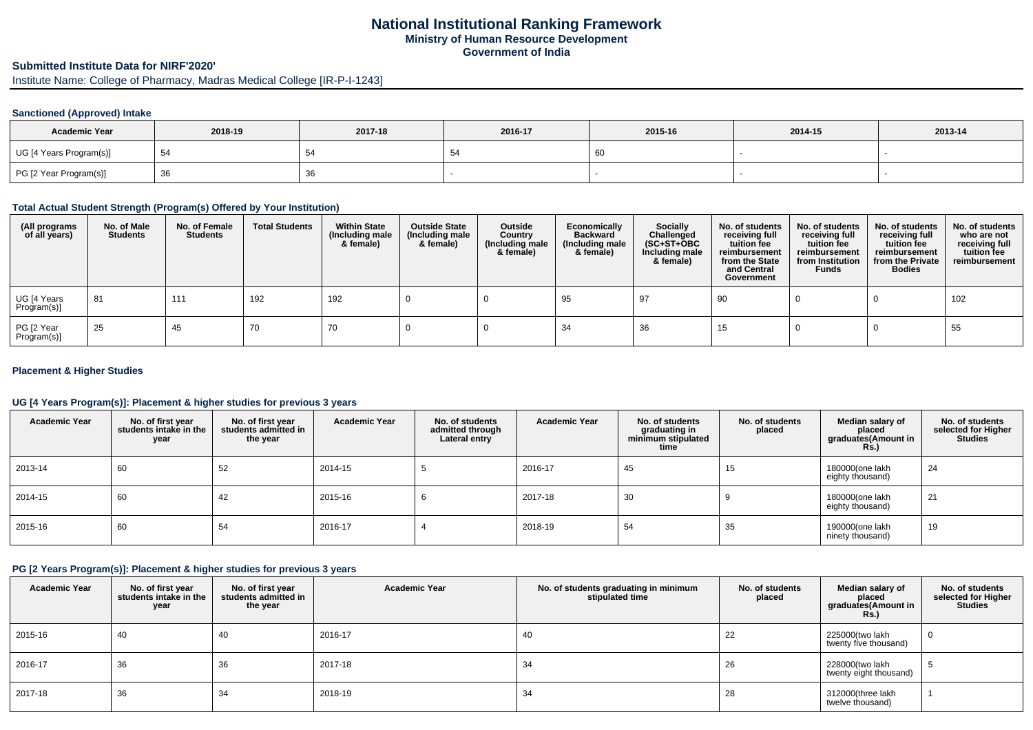## **National Institutional Ranking FrameworkMinistry of Human Resource DevelopmentGovernment of India**

## **Submitted Institute Data for NIRF'2020'**

Institute Name: College of Pharmacy, Madras Medical College [IR-P-I-1243]

#### **Sanctioned (Approved) Intake**

| <b>Academic Year</b>    | 2018-19 | 2017-18 | 2016-17 | 2015-16 | 2014-15 | 2013-14 |
|-------------------------|---------|---------|---------|---------|---------|---------|
| UG [4 Years Program(s)] | 54      |         | - 54    | -60     |         |         |
| PG [2 Year Program(s)]  | 36      | ັບບ     |         |         |         |         |

#### **Total Actual Student Strength (Program(s) Offered by Your Institution)**

| (All programs<br>of all years) | No. of Male<br><b>Students</b> | No. of Female<br><b>Students</b> | <b>Total Students</b> | <b>Within State</b><br>(Including male<br>& female) | <b>Outside State</b><br>(Including male<br>& female) | Outside<br>Country<br>(Including male<br>& female) | Economically<br>Backward<br>(Including male)<br>& female) | <b>Socially</b><br>Challenged<br>$(SC+ST+OBC)$<br>Including male<br>& female) | No. of students<br>receiving full<br>tuition fee<br>reimbursement<br>from the State<br>and Central<br>Government | No. of students<br>receiving full<br>tuition fee<br>reimbursement<br>from Institution<br><b>Funds</b> | No. of students<br>receiving full<br>tuition fee<br>reimbursement<br>from the Private<br><b>Bodies</b> | No. of students<br>who are not<br>receiving full<br>tuition fee<br>reimbursement |
|--------------------------------|--------------------------------|----------------------------------|-----------------------|-----------------------------------------------------|------------------------------------------------------|----------------------------------------------------|-----------------------------------------------------------|-------------------------------------------------------------------------------|------------------------------------------------------------------------------------------------------------------|-------------------------------------------------------------------------------------------------------|--------------------------------------------------------------------------------------------------------|----------------------------------------------------------------------------------|
| UG [4 Years<br>Program(s)]     | 81                             | 111                              | 192                   | 192                                                 |                                                      |                                                    | -95                                                       | -97                                                                           | 90                                                                                                               |                                                                                                       |                                                                                                        | 102                                                                              |
| PG [2 Year<br>Program(s)]      | 25                             | 45                               | 70                    | 70                                                  |                                                      |                                                    | -34                                                       | 36                                                                            | 15                                                                                                               |                                                                                                       |                                                                                                        | 55                                                                               |

#### **Placement & Higher Studies**

#### **UG [4 Years Program(s)]: Placement & higher studies for previous 3 years**

| <b>Academic Year</b> | No. of first year<br>students intake in the<br>year | No. of first year<br>students admitted in<br>the year | <b>Academic Year</b> | No. of students<br>admitted through<br>Lateral entry | <b>Academic Year</b> | No. of students<br>graduating in<br>minimum stipulated<br>time | No. of students<br>placed | Median salary of<br>placed<br>graduates(Amount in<br><b>Rs.)</b> | No. of students<br>selected for Higher<br><b>Studies</b> |
|----------------------|-----------------------------------------------------|-------------------------------------------------------|----------------------|------------------------------------------------------|----------------------|----------------------------------------------------------------|---------------------------|------------------------------------------------------------------|----------------------------------------------------------|
| 2013-14              | 60                                                  | 52                                                    | 2014-15              |                                                      | 2016-17              | 45                                                             | 15                        | 180000(one lakh<br>eighty thousand)                              | 24                                                       |
| 2014-15              | 60                                                  | 42                                                    | 2015-16              | O                                                    | 2017-18              | 30                                                             |                           | 180000(one lakh<br>eighty thousand)                              | 21                                                       |
| 2015-16              | 60                                                  | 54                                                    | 2016-17              |                                                      | 2018-19              | 54                                                             | 35                        | 190000(one lakh<br>ninety thousand)                              | 19                                                       |

## **PG [2 Years Program(s)]: Placement & higher studies for previous 3 years**

| <b>Academic Year</b> | No. of first year<br>students intake in the<br>year | No. of first year<br>students admitted in<br>the year | <b>Academic Year</b> | No. of students graduating in minimum<br>stipulated time | No. of students<br>placed | Median salary of<br>placed<br>graduates(Amount in<br>Rs.) | No. of students<br>selected for Higher<br><b>Studies</b> |
|----------------------|-----------------------------------------------------|-------------------------------------------------------|----------------------|----------------------------------------------------------|---------------------------|-----------------------------------------------------------|----------------------------------------------------------|
| 2015-16              | 40                                                  | 40                                                    | 2016-17              | 40                                                       | 22                        | 225000(two lakh<br>twenty five thousand)                  | U                                                        |
| 2016-17              | 36                                                  | 36                                                    | 2017-18              | 34                                                       | 26                        | 228000(two lakh<br>twenty eight thousand)                 |                                                          |
| 2017-18              | 36                                                  | 34                                                    | 2018-19              | 34                                                       | 28                        | 312000(three lakh<br>twelve thousand)                     |                                                          |